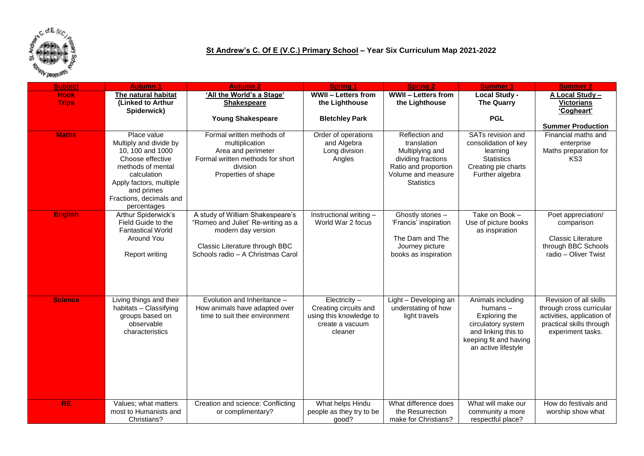

## **St Andrew's C. Of E (V.C.) Primary School – Year Six Curriculum Map 2021-2022**

| <b>Subject</b> | <b>Autumn 1</b>                       | <b>Autumn 2</b>                    | <b>Spring 1</b>                            | <b>Spring 2</b>            | <b>Summer 1</b>                           | <b>Summer 2</b>                                        |
|----------------|---------------------------------------|------------------------------------|--------------------------------------------|----------------------------|-------------------------------------------|--------------------------------------------------------|
| <b>Hook</b>    | The natural habitat                   | 'All the World's a Stage'          | <b>WWII - Letters from</b>                 | <b>WWII - Letters from</b> | <b>Local Study -</b>                      | A Local Study -                                        |
| <b>Trips</b>   | (Linked to Arthur                     | <b>Shakespeare</b>                 | the Lighthouse                             | the Lighthouse             | <b>The Quarry</b>                         | <b>Victorians</b>                                      |
|                | Spiderwick)                           |                                    |                                            |                            |                                           | 'Cogheart'                                             |
|                |                                       | <b>Young Shakespeare</b>           | <b>Bletchley Park</b>                      |                            | <b>PGL</b>                                | <b>Summer Production</b>                               |
| <b>Maths</b>   | Place value                           | Formal written methods of          | Order of operations                        | Reflection and             | SATs revision and                         | Financial maths and                                    |
|                | Multiply and divide by                | multiplication                     | and Algebra                                | translation                | consolidation of key                      | enterprise                                             |
|                | 10, 100 and 1000                      | Area and perimeter                 | Long division                              | Multiplying and            | learning                                  | Maths preparation for                                  |
|                | Choose effective                      | Formal written methods for short   | Angles                                     | dividing fractions         | <b>Statistics</b>                         | KS3                                                    |
|                | methods of mental                     | division                           |                                            | Ratio and proportion       | Creating pie charts                       |                                                        |
|                | calculation                           | Properties of shape                |                                            | Volume and measure         | Further algebra                           |                                                        |
|                | Apply factors, multiple               |                                    |                                            | <b>Statistics</b>          |                                           |                                                        |
|                | and primes<br>Fractions, decimals and |                                    |                                            |                            |                                           |                                                        |
|                | percentages                           |                                    |                                            |                            |                                           |                                                        |
| <b>English</b> | Arthur Spiderwick's                   | A study of William Shakespeare's   | Instructional writing -                    | Ghostly stories -          | Take on Book -                            | Poet appreciation/                                     |
|                | Field Guide to the                    | "Romeo and Juliet' Re-writing as a | World War 2 focus                          | 'Francis' inspiration      | Use of picture books                      | comparison                                             |
|                | <b>Fantastical World</b>              | modern day version                 |                                            |                            | as inspiration                            |                                                        |
|                | <b>Around You</b>                     |                                    |                                            | The Dam and The            |                                           | <b>Classic Literature</b>                              |
|                |                                       | Classic Literature through BBC     |                                            | Journey picture            |                                           | through BBC Schools                                    |
|                | Report writing                        | Schools radio - A Christmas Carol  |                                            | books as inspiration       |                                           | radio - Oliver Twist                                   |
|                |                                       |                                    |                                            |                            |                                           |                                                        |
|                |                                       |                                    |                                            |                            |                                           |                                                        |
|                |                                       |                                    |                                            |                            |                                           |                                                        |
|                |                                       |                                    |                                            |                            |                                           |                                                        |
| <b>Science</b> | Living things and their               | Evolution and Inheritance -        | Electricity $-$                            | Light - Developing an      | Animals including                         | Revision of all skills                                 |
|                | habitats - Classifying                | How animals have adapted over      | Creating circuits and                      | understating of how        | humans $-$                                | through cross curricular                               |
|                | groups based on<br>observable         | time to suit their environment     | using this knowledge to<br>create a vacuum | light travels              | Exploring the                             | activities, application of<br>practical skills through |
|                | characteristics                       |                                    | cleaner                                    |                            | circulatory system<br>and linking this to | experiment tasks.                                      |
|                |                                       |                                    |                                            |                            | keeping fit and having                    |                                                        |
|                |                                       |                                    |                                            |                            | an active lifestyle                       |                                                        |
|                |                                       |                                    |                                            |                            |                                           |                                                        |
|                |                                       |                                    |                                            |                            |                                           |                                                        |
|                |                                       |                                    |                                            |                            |                                           |                                                        |
|                |                                       |                                    |                                            |                            |                                           |                                                        |
|                |                                       |                                    |                                            |                            |                                           |                                                        |
| RE             | Values; what matters                  | Creation and science: Conflicting  | What helps Hindu                           | What difference does       | What will make our                        | How do festivals and                                   |
|                | most to Humanists and                 | or complimentary?                  | people as they try to be                   | the Resurrection           | community a more                          | worship show what                                      |
|                | Christians?                           |                                    | good?                                      | make for Christians?       | respectful place?                         |                                                        |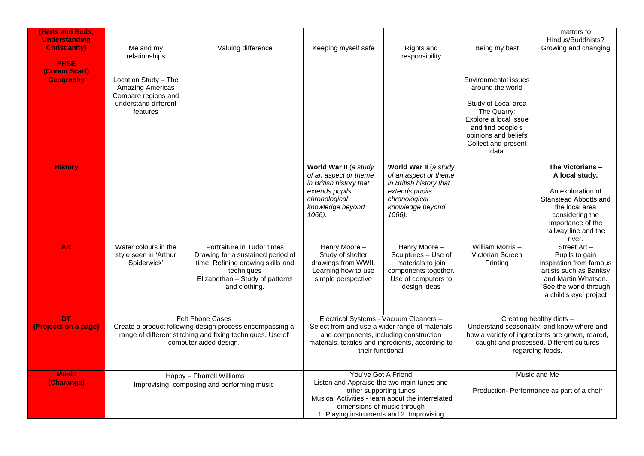| <b>Herts and Beds.</b><br><b>Understanding</b>       |                                                                                                                                                                             |                                                                                                                                                                        |                                                                                                                                                                                                                              |                                                                                                                                            |                                                                                                                                                                                           | matters to<br>Hindus/Buddhists?                                                                                                                                              |
|------------------------------------------------------|-----------------------------------------------------------------------------------------------------------------------------------------------------------------------------|------------------------------------------------------------------------------------------------------------------------------------------------------------------------|------------------------------------------------------------------------------------------------------------------------------------------------------------------------------------------------------------------------------|--------------------------------------------------------------------------------------------------------------------------------------------|-------------------------------------------------------------------------------------------------------------------------------------------------------------------------------------------|------------------------------------------------------------------------------------------------------------------------------------------------------------------------------|
| <b>Christianity)</b><br><b>PHSE</b><br>(Coram Scarf) | Me and my<br>relationships                                                                                                                                                  | Valuing difference                                                                                                                                                     | Keeping myself safe                                                                                                                                                                                                          | Rights and<br>responsibility                                                                                                               | Being my best                                                                                                                                                                             | Growing and changing                                                                                                                                                         |
| <b>Geography</b>                                     | Location Study - The<br>Amazing Americas<br>Compare regions and<br>understand different<br>features                                                                         |                                                                                                                                                                        |                                                                                                                                                                                                                              |                                                                                                                                            | Environmental issues<br>around the world<br>Study of Local area<br>The Quarry:<br>Explore a local issue<br>and find people's<br>opinions and beliefs<br>Collect and present<br>data       |                                                                                                                                                                              |
| <b>History</b>                                       |                                                                                                                                                                             |                                                                                                                                                                        | World War II (a study<br>of an aspect or theme<br>in British history that<br>extends pupils<br>chronological<br>knowledge beyond<br>1066).                                                                                   | World War II (a study<br>of an aspect or theme<br>in British history that<br>extends pupils<br>chronological<br>knowledge beyond<br>1066). |                                                                                                                                                                                           | The Victorians -<br>A local study.<br>An exploration of<br>Stanstead Abbotts and<br>the local area<br>considering the<br>importance of the<br>railway line and the<br>river. |
| Art                                                  | Water colours in the<br>style seen in 'Arthur<br>Spiderwick'                                                                                                                | Portraiture in Tudor times<br>Drawing for a sustained period of<br>time. Refining drawing skills and<br>techniques<br>Elizabethan - Study of patterns<br>and clothing. | Henry Moore -<br>Study of shelter<br>drawings from WWII.<br>Learning how to use<br>simple perspective                                                                                                                        | Henry Moore -<br>Sculptures - Use of<br>materials to join<br>components together.<br>Use of computers to<br>design ideas                   | William Morris-<br>Victorian Screen<br>Printing                                                                                                                                           | Street Art-<br>Pupils to gain<br>inspiration from famous<br>artists such as Banksy<br>and Martin Whatson.<br>'See the world through<br>a child's eye' project                |
| <b>DT</b><br>(Projects on a page)                    | <b>Felt Phone Cases</b><br>Create a product following design process encompassing a<br>range of different stitching and fixing techniques. Use of<br>computer aided design. |                                                                                                                                                                        | Electrical Systems - Vacuum Cleaners -<br>Select from and use a wider range of materials<br>and components, including construction<br>materials, textiles and ingredients, according to<br>their functional                  |                                                                                                                                            | Creating healthy diets -<br>Understand seasonality, and know where and<br>how a variety of ingredients are grown, reared,<br>caught and processed. Different cultures<br>regarding foods. |                                                                                                                                                                              |
| <b>Music</b><br>(Charanga)                           | Happy - Pharrell Williams<br>Improvising, composing and performing music                                                                                                    |                                                                                                                                                                        | You've Got A Friend<br>Listen and Appraise the two main tunes and<br>other supporting tunes<br>Musical Activities - learn about the interrelated<br>dimensions of music through<br>1. Playing instruments and 2. Improvising |                                                                                                                                            | Music and Me<br>Production- Performance as part of a choir                                                                                                                                |                                                                                                                                                                              |